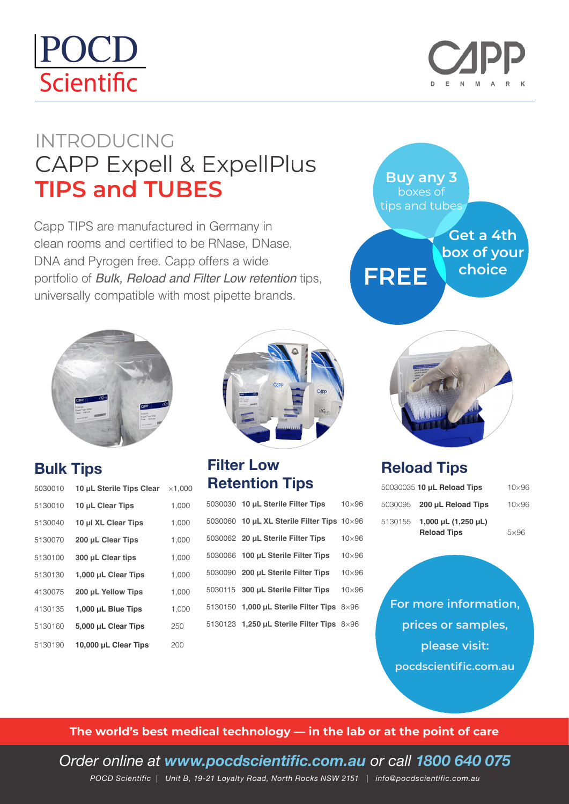# POCD Scientific



### INTRODUCING CAPP Expell & ExpellPlus **TIPS and TUBES**

Capp TIPS are manufactured in Germany in clean rooms and certified to be RNase, DNase, DNA and Pyrogen free. Capp offers a wide portfolio of *Bulk, Reload and Filter Low retention* tips, universally compatible with most pipette brands.



#### **Bulk Tips**

| 5030010 | 10 uL Sterile Tips Clear | $\times$ 1,000 |
|---------|--------------------------|----------------|
| 5130010 | 10 µL Clear Tips         | 1,000          |
| 5130040 | 10 µl XL Clear Tips      | 1,000          |
| 5130070 | 200 µL Clear Tips        | 1,000          |
| 5130100 | 300 µL Clear tips        | 1,000          |
| 5130130 | 1,000 µL Clear Tips      | 1,000          |
| 4130075 | 200 µL Yellow Tips       | 1,000          |
| 4130135 | 1,000 µL Blue Tips       | 1,000          |
| 5130160 | 5,000 µL Clear Tips      | 250            |
| 5130190 | 10,000 µL Clear Tips     | 200            |



#### **Filter Low Retention Tips**

|  | 5030030 10 µL Sterile Filter Tips                      | $10\times96$ |
|--|--------------------------------------------------------|--------------|
|  | 5030060 10 $\mu$ L XL Sterile Filter Tips $10\times96$ |              |
|  | 5030062 20 µL Sterile Filter Tips                      | $10\times96$ |
|  | 5030066 100 µL Sterile Filter Tips                     | $10\times96$ |
|  | 5030090 200 µL Sterile Filter Tips                     | $10\times96$ |
|  | 5030115 300 µL Sterile Filter Tips                     | $10\times96$ |
|  | 5130150 1,000 $\mu$ L Sterile Filter Tips $8\times96$  |              |
|  | 5130123 1,250 µL Sterile Filter Tips 8×96              |              |
|  |                                                        |              |





#### **Reload Tips**

|         | 50030035 10 µL Reload Tips                     | $10\times96$ |
|---------|------------------------------------------------|--------------|
|         | 5030095 200 µL Reload Tips                     | $10\times96$ |
| 5130155 | 1,000 µL $(1,250 \mu L)$<br><b>Reload Tips</b> | $5\times96$  |

**For more information, prices or samples, please visit: pocdscientific.com.au**

**The world's best medical technology — in the lab or at the point of care**

*Order online at www.pocdscientific.com.au or call 1800 640 075 POCD Scientific | Unit B, 19-21 Loyalty Road, North Rocks NSW 2151 | info@pocdscientific.com.au*